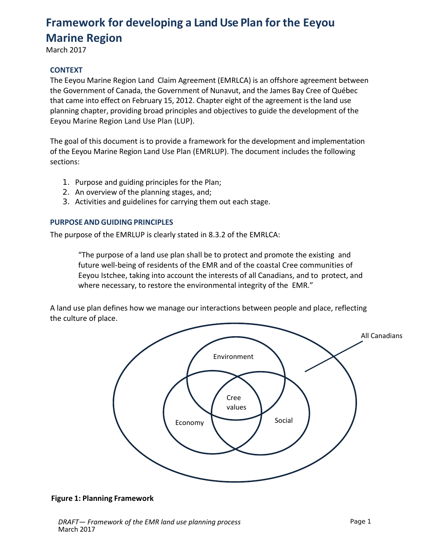# **Framework for developing a Land Use Plan for the Eeyou Marine Region**

March 2017

## **CONTEXT**

The Eeyou Marine Region Land Claim Agreement (EMRLCA) is an offshore agreement between the Government of Canada, the Government of Nunavut, and the James Bay Cree of Québec that came into effect on February 15, 2012. Chapter eight of the agreement is the land use planning chapter, providing broad principles and objectives to guide the development of the Eeyou Marine Region Land Use Plan (LUP).

The goal of this document is to provide a framework for the development and implementation of the Eeyou Marine Region Land Use Plan (EMRLUP). The document includes the following sections:

- 1. Purpose and guiding principles for the Plan;
- 2. An overview of the planning stages, and;
- 3. Activities and guidelines for carrying them out each stage.

## **PURPOSE AND GUIDING PRINCIPLES**

The purpose of the EMRLUP is clearly stated in 8.3.2 of the EMRLCA:

"The purpose of a land use plan shall be to protect and promote the existing and future well-being of residents of the EMR and of the coastal Cree communities of Eeyou Istchee, taking into account the interests of all Canadians, and to protect, and where necessary, to restore the environmental integrity of the EMR."

A land use plan defines how we manage our interactions between people and place, reflecting the culture of place.



## **Figure 1: Planning Framework**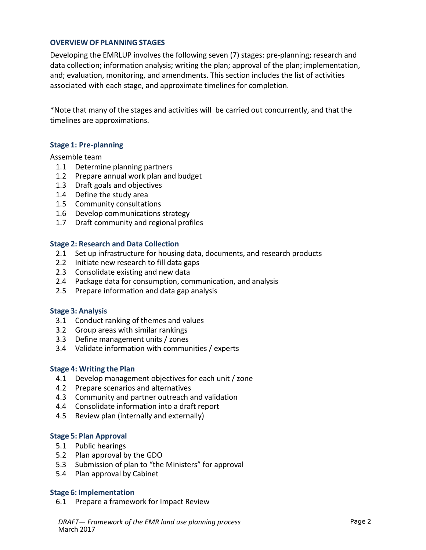## **OVERVIEW OF PLANNING STAGES**

Developing the EMRLUP involves the following seven (7) stages: pre-planning; research and data collection; information analysis; writing the plan; approval of the plan; implementation, and; evaluation, monitoring, and amendments. This section includes the list of activities associated with each stage, and approximate timelines for completion.

\*Note that many of the stages and activities will be carried out concurrently, and that the timelines are approximations.

## **Stage 1: Pre-planning**

#### Assemble team

- 1.1 Determine planning partners
- 1.2 Prepare annual work plan and budget
- 1.3 Draft goals and objectives
- 1.4 Define the study area
- 1.5 Community consultations
- 1.6 Develop communications strategy
- 1.7 Draft community and regional profiles

#### **Stage 2: Research and Data Collection**

- 2.1 Set up infrastructure for housing data, documents, and research products
- 2.2 Initiate new research to fill data gaps
- 2.3 Consolidate existing and new data
- 2.4 Package data for consumption, communication, and analysis
- 2.5 Prepare information and data gap analysis

#### **Stage 3: Analysis**

- 3.1 Conduct ranking of themes and values
- 3.2 Group areas with similar rankings
- 3.3 Define management units / zones
- 3.4 Validate information with communities / experts

#### **Stage 4: Writing the Plan**

- 4.1 Develop management objectives for each unit / zone
- 4.2 Prepare scenarios and alternatives
- 4.3 Community and partner outreach and validation
- 4.4 Consolidate information into a draft report
- 4.5 Review plan (internally and externally)

#### **Stage 5: Plan Approval**

- 5.1 Public hearings
- 5.2 Plan approval by the GDO
- 5.3 Submission of plan to "the Ministers" for approval
- 5.4 Plan approval by Cabinet

#### **Stage 6: Implementation**

6.1 Prepare a framework for Impact Review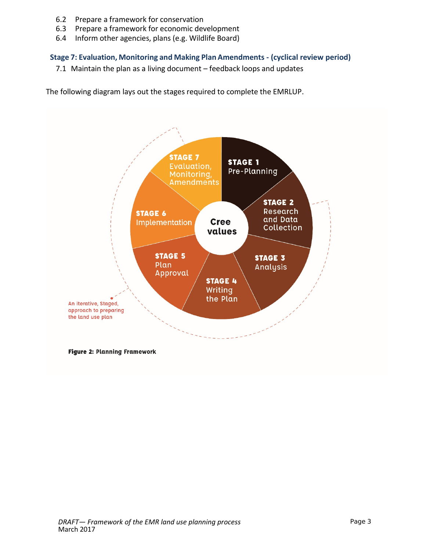- 6.2 Prepare a framework for conservation
- 6.3 Prepare a framework for economic development
- 6.4 Inform other agencies, plans (e.g. Wildlife Board)

## **Stage 7: Evaluation, Monitoring and Making Plan Amendments - (cyclical review period)**

7.1 Maintain the plan as a living document – feedback loops and updates

The following diagram lays out the stages required to complete the EMRLUP.

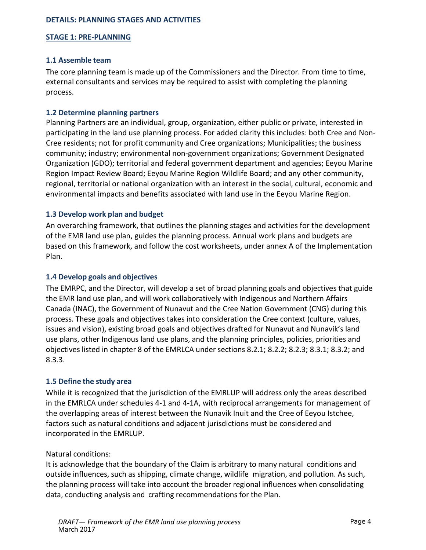## **DETAILS: PLANNING STAGES AND ACTIVITIES**

## **STAGE 1: PRE-PLANNING**

## **1.1 Assemble team**

The core planning team is made up of the Commissioners and the Director. From time to time, external consultants and services may be required to assist with completing the planning process.

## **1.2 Determine planning partners**

Planning Partners are an individual, group, organization, either public or private, interested in participating in the land use planning process. For added clarity this includes: both Cree and Non-Cree residents; not for profit community and Cree organizations; Municipalities; the business community; industry; environmental non-government organizations; Government Designated Organization (GDO); territorial and federal government department and agencies; Eeyou Marine Region Impact Review Board; Eeyou Marine Region Wildlife Board; and any other community, regional, territorial or national organization with an interest in the social, cultural, economic and environmental impacts and benefits associated with land use in the Eeyou Marine Region.

## **1.3 Develop work plan and budget**

An overarching framework, that outlines the planning stages and activities for the development of the EMR land use plan, guides the planning process. Annual work plans and budgets are based on this framework, and follow the cost worksheets, under annex A of the Implementation Plan.

## **1.4 Develop goals and objectives**

The EMRPC, and the Director, will develop a set of broad planning goals and objectives that guide the EMR land use plan, and will work collaboratively with Indigenous and Northern Affairs Canada (INAC), the Government of Nunavut and the Cree Nation Government (CNG) during this process. These goals and objectives takes into consideration the Cree context (culture, values, issues and vision), existing broad goals and objectives drafted for Nunavut and Nunavik's land use plans, other Indigenous land use plans, and the planning principles, policies, priorities and objectives listed in chapter 8 of the EMRLCA under sections 8.2.1; 8.2.2; 8.2.3; 8.3.1; 8.3.2; and 8.3.3.

## **1.5 Define the study area**

While it is recognized that the jurisdiction of the EMRLUP will address only the areas described in the EMRLCA under schedules 4-1 and 4-1A, with reciprocal arrangements for management of the overlapping areas of interest between the Nunavik Inuit and the Cree of Eeyou Istchee, factors such as natural conditions and adjacent jurisdictions must be considered and incorporated in the EMRLUP.

#### Natural conditions:

It is acknowledge that the boundary of the Claim is arbitrary to many natural conditions and outside influences, such as shipping, climate change, wildlife migration, and pollution. As such, the planning process will take into account the broader regional influences when consolidating data, conducting analysis and crafting recommendations for the Plan.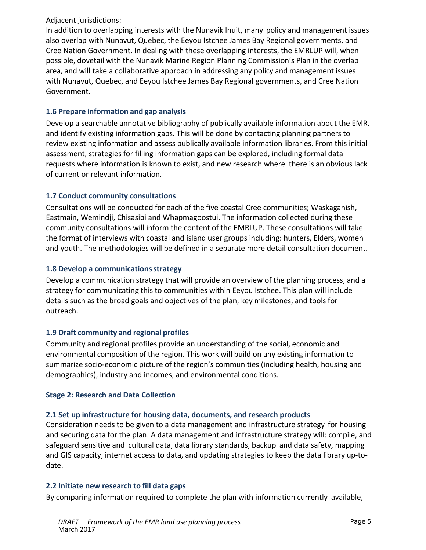## Adjacent jurisdictions:

In addition to overlapping interests with the Nunavik Inuit, many policy and management issues also overlap with Nunavut, Quebec, the Eeyou Istchee James Bay Regional governments, and Cree Nation Government. In dealing with these overlapping interests, the EMRLUP will, when possible, dovetail with the Nunavik Marine Region Planning Commission's Plan in the overlap area, and will take a collaborative approach in addressing any policy and management issues with Nunavut, Quebec, and Eeyou Istchee James Bay Regional governments, and Cree Nation Government.

# **1.6 Prepare information and gap analysis**

Develop a searchable annotative bibliography of publically available information about the EMR, and identify existing information gaps. This will be done by contacting planning partners to review existing information and assess publically available information libraries. From this initial assessment, strategies for filling information gaps can be explored, including formal data requests where information is known to exist, and new research where there is an obvious lack of current or relevant information.

# **1.7 Conduct community consultations**

Consultations will be conducted for each of the five coastal Cree communities; Waskaganish, Eastmain, Wemindji, Chisasibi and Whapmagoostui. The information collected during these community consultations will inform the content of the EMRLUP. These consultations will take the format of interviews with coastal and island user groups including: hunters, Elders, women and youth. The methodologies will be defined in a separate more detail consultation document.

## **1.8 Develop a communicationsstrategy**

Develop a communication strategy that will provide an overview of the planning process, and a strategy for communicating this to communities within Eeyou Istchee. This plan will include details such as the broad goals and objectives of the plan, key milestones, and tools for outreach.

# **1.9 Draft community and regional profiles**

Community and regional profiles provide an understanding of the social, economic and environmental composition of the region. This work will build on any existing information to summarize socio-economic picture of the region's communities (including health, housing and demographics), industry and incomes, and environmental conditions.

## **Stage 2: Research and Data Collection**

## **2.1 Set up infrastructure for housing data, documents, and research products**

Consideration needs to be given to a data management and infrastructure strategy for housing and securing data for the plan. A data management and infrastructure strategy will: compile, and safeguard sensitive and cultural data, data library standards, backup and data safety, mapping and GIS capacity, internet access to data, and updating strategies to keep the data library up-todate.

## **2.2 Initiate new research to fill data gaps**

By comparing information required to complete the plan with information currently available,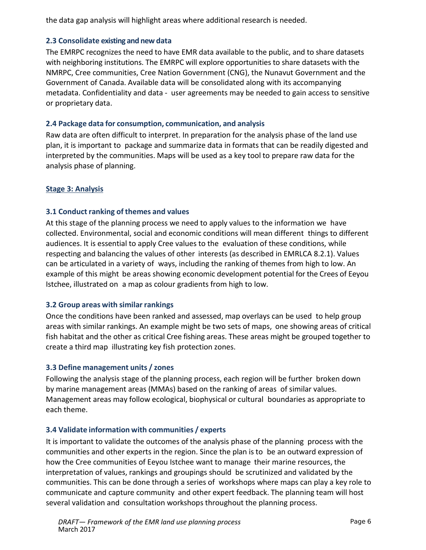the data gap analysis will highlight areas where additional research is needed.

## **2.3 Consolidate existing and new data**

The EMRPC recognizes the need to have EMR data available to the public, and to share datasets with neighboring institutions. The EMRPC will explore opportunities to share datasets with the NMRPC, Cree communities, Cree Nation Government (CNG), the Nunavut Government and the Government of Canada. Available data will be consolidated along with its accompanying metadata. Confidentiality and data - user agreements may be needed to gain access to sensitive or proprietary data.

## **2.4 Package data for consumption, communication, and analysis**

Raw data are often difficult to interpret. In preparation for the analysis phase of the land use plan, it is important to package and summarize data in formats that can be readily digested and interpreted by the communities. Maps will be used as a key tool to prepare raw data for the analysis phase of planning.

# **Stage 3: Analysis**

# **3.1 Conduct ranking of themes and values**

At this stage of the planning process we need to apply values to the information we have collected. Environmental, social and economic conditions will mean different things to different audiences. It is essential to apply Cree values to the evaluation of these conditions, while respecting and balancing the values of other interests (as described in EMRLCA 8.2.1). Values can be articulated in a variety of ways, including the ranking of themes from high to low. An example of this might be areas showing economic development potential for the Crees of Eeyou Istchee, illustrated on a map as colour gradients from high to low.

# **3.2 Group areas with similar rankings**

Once the conditions have been ranked and assessed, map overlays can be used to help group areas with similar rankings. An example might be two sets of maps, one showing areas of critical fish habitat and the other as critical Cree fishing areas. These areas might be grouped together to create a third map illustrating key fish protection zones.

# **3.3 Define management units / zones**

Following the analysis stage of the planning process, each region will be further broken down by marine management areas (MMAs) based on the ranking of areas of similar values. Management areas may follow ecological, biophysical or cultural boundaries as appropriate to each theme.

# **3.4 Validate information with communities / experts**

It is important to validate the outcomes of the analysis phase of the planning process with the communities and other experts in the region. Since the plan is to be an outward expression of how the Cree communities of Eeyou Istchee want to manage their marine resources, the interpretation of values, rankings and groupings should be scrutinized and validated by the communities. This can be done through a series of workshops where maps can play a key role to communicate and capture community and other expert feedback. The planning team will host several validation and consultation workshops throughout the planning process.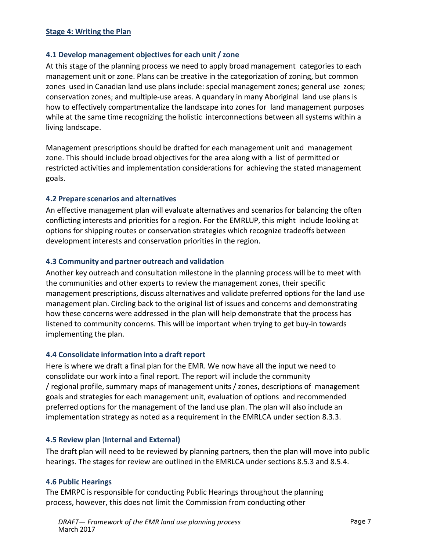#### **Stage 4: Writing the Plan**

## **4.1 Develop management objectivesfor each unit / zone**

At this stage of the planning process we need to apply broad management categories to each management unit or zone. Plans can be creative in the categorization of zoning, but common zones used in Canadian land use plans include: special management zones; general use zones; conservation zones; and multiple-use areas. A quandary in many Aboriginal land use plans is how to effectively compartmentalize the landscape into zones for land management purposes while at the same time recognizing the holistic interconnections between all systems within a living landscape.

Management prescriptions should be drafted for each management unit and management zone. This should include broad objectives for the area along with a list of permitted or restricted activities and implementation considerations for achieving the stated management goals.

## **4.2 Prepare scenarios and alternatives**

An effective management plan will evaluate alternatives and scenarios for balancing the often conflicting interests and priorities for a region. For the EMRLUP, this might include looking at options for shipping routes or conservation strategies which recognize tradeoffs between development interests and conservation priorities in the region.

## **4.3 Community and partner outreach and validation**

Another key outreach and consultation milestone in the planning process will be to meet with the communities and other experts to review the management zones, their specific management prescriptions, discuss alternatives and validate preferred options for the land use management plan. Circling back to the original list of issues and concerns and demonstrating how these concerns were addressed in the plan will help demonstrate that the process has listened to community concerns. This will be important when trying to get buy-in towards implementing the plan.

#### **4.4 Consolidate information into a draft report**

Here is where we draft a final plan for the EMR. We now have all the input we need to consolidate our work into a final report. The report will include the community / regional profile, summary maps of management units / zones, descriptions of management goals and strategies for each management unit, evaluation of options and recommended preferred options for the management of the land use plan. The plan will also include an implementation strategy as noted as a requirement in the EMRLCA under section 8.3.3.

#### **4.5 Review plan** (**Internal and External)**

The draft plan will need to be reviewed by planning partners, then the plan will move into public hearings. The stages for review are outlined in the EMRLCA under sections 8.5.3 and 8.5.4.

#### **4.6 Public Hearings**

The EMRPC is responsible for conducting Public Hearings throughout the planning process, however, this does not limit the Commission from conducting other